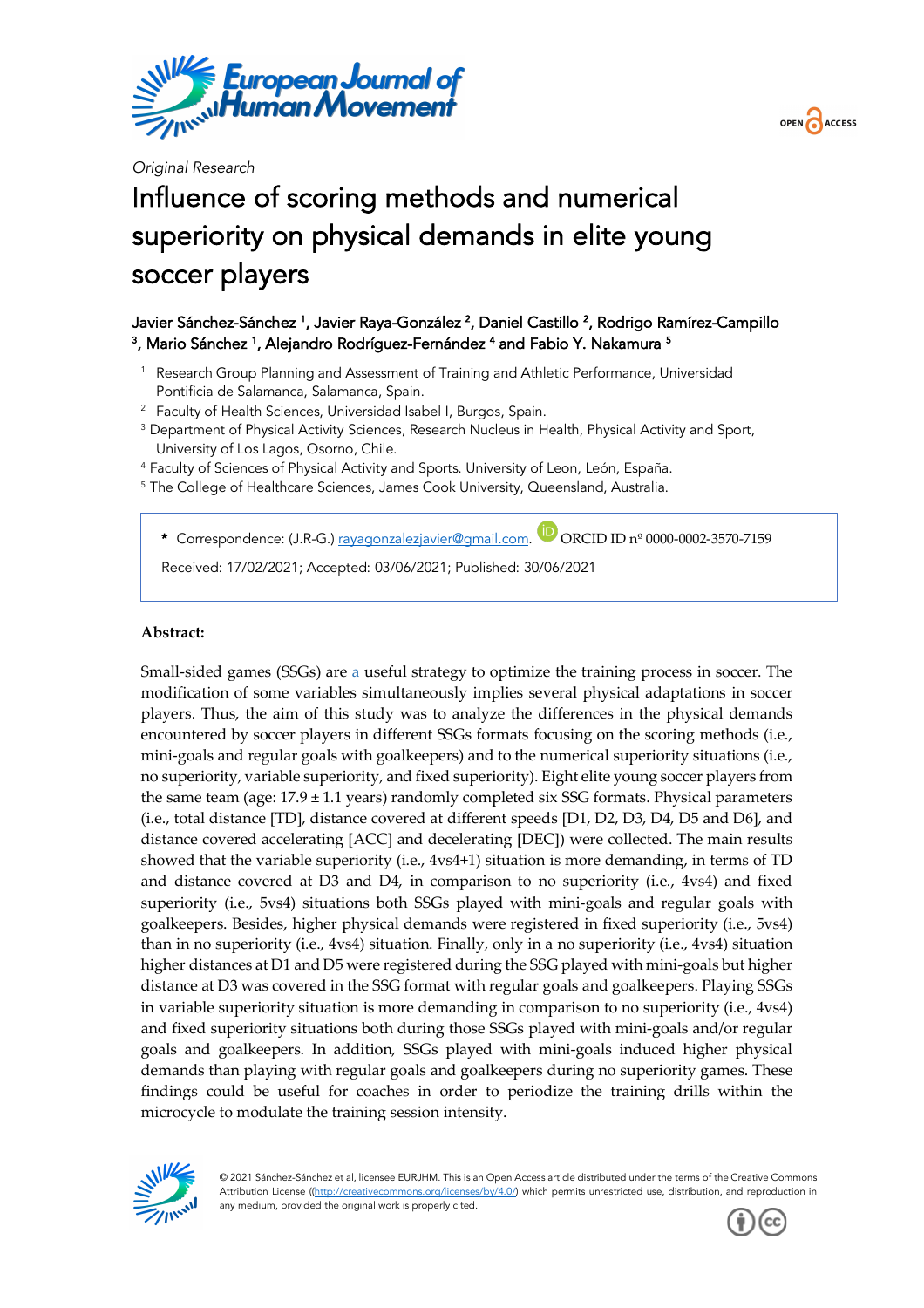

*Original Research*

# Influence of scoring methods and numerical superiority on physical demands in elite young soccer players

## Javier Sánchez-Sánchez <sup>1</sup>, Javier Raya-González <sup>2</sup>, Daniel Castillo <sup>2</sup>, Rodrigo Ramírez-Campillo <sup>3</sup>, Mario Sánchez <sup>1</sup>, Alejandro Rodríguez-Fernández <sup>4</sup> and Fabio Y. Nakamura <sup>5</sup>

- <sup>1</sup> Research Group Planning and Assessment of Training and Athletic Performance, Universidad Pontificia de Salamanca, Salamanca, Spain.
- 
- <sup>2</sup> Faculty of Health Sciences, Universidad Isabel I, Burgos, Spain.<br><sup>3</sup> Department of Physical Activity Sciences, Research Nucleus in Health, Physical Activity and Sport, University of Los Lagos, Osorno, Chile.
- <sup>4</sup> Faculty of Sciences of Physical Activity and Sports. University of Leon, León, España.
- <sup>5</sup> The College of Healthcare Sciences, James Cook University, Queensland, Australia.

\* Correspondence: (J.R-G.) rayagonzalezjavier@gmail.com. <sup>D</sup>ORCID ID nº 0000-0002-3570-7159

Received: 17/02/2021; Accepted: 03/06/2021; Published: 30/06/2021

#### **Abstract:**

Small-sided games (SSGs) are a useful strategy to optimize the training process in soccer. The modification of some variables simultaneously implies several physical adaptations in soccer players. Thus, the aim of this study was to analyze the differences in the physical demands encountered by soccer players in different SSGs formats focusing on the scoring methods (i.e., mini-goals and regular goals with goalkeepers) and to the numerical superiority situations (i.e., no superiority, variable superiority, and fixed superiority). Eight elite young soccer players from the same team (age:  $17.9 \pm 1.1$  years) randomly completed six SSG formats. Physical parameters (i.e., total distance [TD], distance covered at different speeds [D1, D2, D3, D4, D5 and D6], and distance covered accelerating [ACC] and decelerating [DEC]) were collected. The main results showed that the variable superiority (i.e., 4vs4+1) situation is more demanding, in terms of TD and distance covered at D3 and D4, in comparison to no superiority (i.e., 4vs4) and fixed superiority (i.e., 5vs4) situations both SSGs played with mini-goals and regular goals with goalkeepers. Besides, higher physical demands were registered in fixed superiority (i.e., 5vs4) than in no superiority (i.e., 4vs4) situation. Finally, only in a no superiority (i.e., 4vs4) situation higher distances at D1 and D5 were registered during the SSG played with mini-goals but higher distance at D3 was covered in the SSG format with regular goals and goalkeepers. Playing SSGs in variable superiority situation is more demanding in comparison to no superiority (i.e., 4vs4) and fixed superiority situations both during those SSGs played with mini-goals and/or regular goals and goalkeepers. In addition, SSGs played with mini-goals induced higher physical demands than playing with regular goals and goalkeepers during no superiority games. These findings could be useful for coaches in order to periodize the training drills within the microcycle to modulate the training session intensity.



© 2021 Sánchez-Sánchez et al, licensee EURJHM. This is an Open Access article distributed under the terms of the Creative Commons Attribution License ((http://creativecommons.org/licenses/by/4.0/) which permits unrestricted use, distribution, and reproduction in any medium, provided the original work is properly cited.



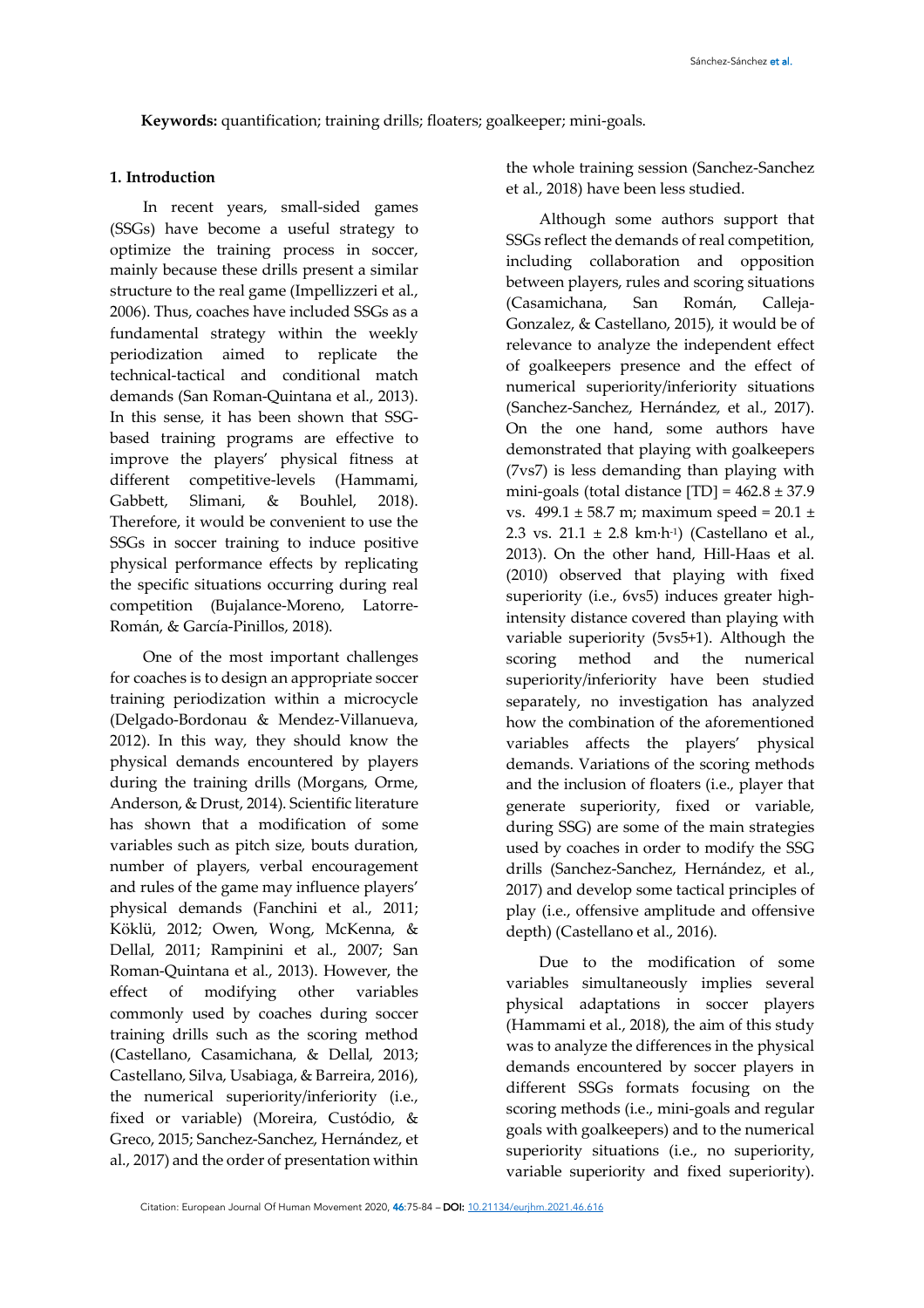**Keywords:** quantification; training drills; floaters; goalkeeper; mini-goals.

#### **1. Introduction**

In recent years, small-sided games (SSGs) have become a useful strategy to optimize the training process in soccer, mainly because these drills present a similar structure to the real game (Impellizzeri et al., 2006). Thus, coaches have included SSGs as a fundamental strategy within the weekly periodization aimed to replicate the technical-tactical and conditional match demands (San Roman-Quintana et al., 2013). In this sense, it has been shown that SSGbased training programs are effective to improve the players' physical fitness at different competitive-levels (Hammami, Gabbett, Slimani, & Bouhlel, 2018). Therefore, it would be convenient to use the SSGs in soccer training to induce positive physical performance effects by replicating the specific situations occurring during real competition (Bujalance-Moreno, Latorre-Román, & García-Pinillos, 2018).

One of the most important challenges for coaches is to design an appropriate soccer training periodization within a microcycle (Delgado-Bordonau & Mendez-Villanueva, 2012). In this way, they should know the physical demands encountered by players during the training drills (Morgans, Orme, Anderson, & Drust, 2014). Scientific literature has shown that a modification of some variables such as pitch size, bouts duration, number of players, verbal encouragement and rules of the game may influence players' physical demands (Fanchini et al., 2011; Köklü, 2012; Owen, Wong, McKenna, & Dellal, 2011; Rampinini et al., 2007; San Roman-Quintana et al., 2013). However, the effect of modifying other variables commonly used by coaches during soccer training drills such as the scoring method (Castellano, Casamichana, & Dellal, 2013; Castellano, Silva, Usabiaga, & Barreira, 2016), the numerical superiority/inferiority (i.e., fixed or variable) (Moreira, Custódio, & Greco, 2015; Sanchez-Sanchez, Hernández, et al., 2017) and the order of presentation within

the whole training session (Sanchez-Sanchez et al., 2018) have been less studied.

Although some authors support that SSGs reflect the demands of real competition, including collaboration and opposition between players, rules and scoring situations (Casamichana, San Román, Calleja-Gonzalez, & Castellano, 2015), it would be of relevance to analyze the independent effect of goalkeepers presence and the effect of numerical superiority/inferiority situations (Sanchez-Sanchez, Hernández, et al., 2017). On the one hand, some authors have demonstrated that playing with goalkeepers (7vs7) is less demanding than playing with mini-goals (total distance  $[TD] = 462.8 \pm 37.9$ vs.  $499.1 \pm 58.7$  m; maximum speed =  $20.1 \pm$ 2.3 vs.  $21.1 \pm 2.8$  km·h<sup>-1</sup>) (Castellano et al., 2013). On the other hand, Hill-Haas et al. (2010) observed that playing with fixed superiority (i.e., 6vs5) induces greater highintensity distance covered than playing with variable superiority (5vs5+1). Although the scoring method and the numerical superiority/inferiority have been studied separately, no investigation has analyzed how the combination of the aforementioned variables affects the players' physical demands. Variations of the scoring methods and the inclusion of floaters (i.e., player that generate superiority, fixed or variable, during SSG) are some of the main strategies used by coaches in order to modify the SSG drills (Sanchez-Sanchez, Hernández, et al., 2017) and develop some tactical principles of play (i.e., offensive amplitude and offensive depth) (Castellano et al., 2016).

Due to the modification of some variables simultaneously implies several physical adaptations in soccer players (Hammami et al., 2018), the aim of this study was to analyze the differences in the physical demands encountered by soccer players in different SSGs formats focusing on the scoring methods (i.e., mini-goals and regular goals with goalkeepers) and to the numerical superiority situations (i.e., no superiority, variable superiority and fixed superiority).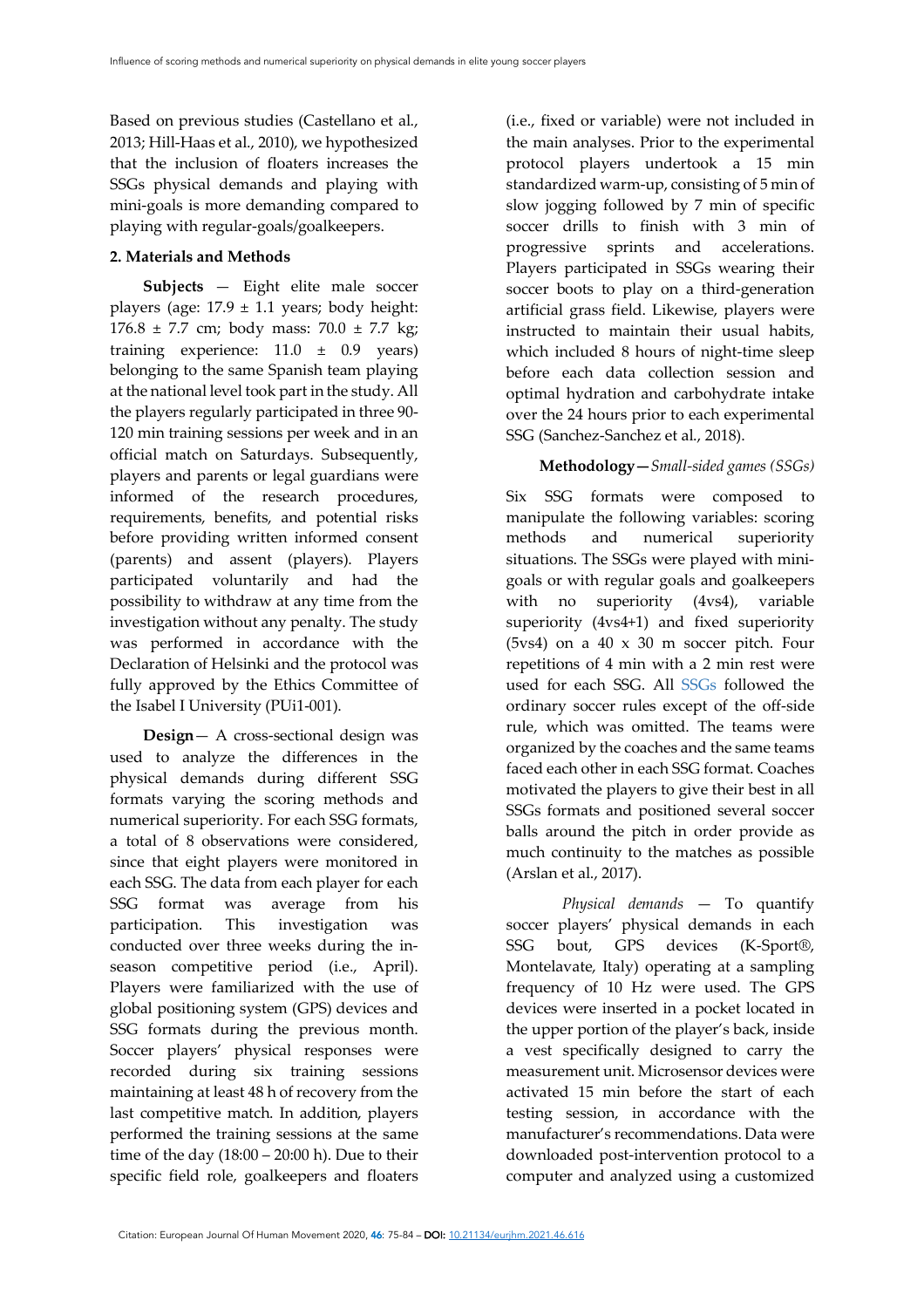Based on previous studies (Castellano et al., 2013; Hill-Haas et al., 2010), we hypothesized that the inclusion of floaters increases the SSGs physical demands and playing with mini-goals is more demanding compared to playing with regular-goals/goalkeepers.

#### **2. Materials and Methods**

**Subjects** — Eight elite male soccer players (age:  $17.9 \pm 1.1$  years; body height: 176.8 ± 7.7 cm; body mass: 70.0 ± 7.7 kg; training experience: 11.0 ± 0.9 years) belonging to the same Spanish team playing at the national level took part in the study. All the players regularly participated in three 90- 120 min training sessions per week and in an official match on Saturdays. Subsequently, players and parents or legal guardians were informed of the research procedures, requirements, benefits, and potential risks before providing written informed consent (parents) and assent (players). Players participated voluntarily and had the possibility to withdraw at any time from the investigation without any penalty. The study was performed in accordance with the Declaration of Helsinki and the protocol was fully approved by the Ethics Committee of the Isabel I University (PUi1-001).

**Design**— A cross-sectional design was used to analyze the differences in the physical demands during different SSG formats varying the scoring methods and numerical superiority. For each SSG formats, a total of 8 observations were considered, since that eight players were monitored in each SSG. The data from each player for each SSG format was average from his participation. This investigation was conducted over three weeks during the inseason competitive period (i.e., April). Players were familiarized with the use of global positioning system (GPS) devices and SSG formats during the previous month. Soccer players' physical responses were recorded during six training sessions maintaining at least 48 h of recovery from the last competitive match. In addition, players performed the training sessions at the same time of the day  $(18:00 - 20:00)$  h). Due to their specific field role, goalkeepers and floaters

(i.e., fixed or variable) were not included in the main analyses. Prior to the experimental protocol players undertook a 15 min standardized warm-up, consisting of 5 min of slow jogging followed by 7 min of specific soccer drills to finish with 3 min of progressive sprints and accelerations. Players participated in SSGs wearing their soccer boots to play on a third-generation artificial grass field. Likewise, players were instructed to maintain their usual habits, which included 8 hours of night-time sleep before each data collection session and optimal hydration and carbohydrate intake over the 24 hours prior to each experimental SSG (Sanchez-Sanchez et al., 2018).

## **Methodology—***Small-sided games (SSGs)*

Six SSG formats were composed to manipulate the following variables: scoring methods and numerical superiority situations. The SSGs were played with minigoals or with regular goals and goalkeepers with no superiority (4vs4), variable superiority (4vs4+1) and fixed superiority (5vs4) on a 40 x 30 m soccer pitch. Four repetitions of 4 min with a 2 min rest were used for each SSG. All SSGs followed the ordinary soccer rules except of the off-side rule, which was omitted. The teams were organized by the coaches and the same teams faced each other in each SSG format. Coaches motivated the players to give their best in all SSGs formats and positioned several soccer balls around the pitch in order provide as much continuity to the matches as possible (Arslan et al., 2017).

*Physical demands* — To quantify soccer players' physical demands in each SSG bout, GPS devices (K-Sport®, Montelavate, Italy) operating at a sampling frequency of 10 Hz were used. The GPS devices were inserted in a pocket located in the upper portion of the player's back, inside a vest specifically designed to carry the measurement unit. Microsensor devices were activated 15 min before the start of each testing session, in accordance with the manufacturer's recommendations. Data were downloaded post-intervention protocol to a computer and analyzed using a customized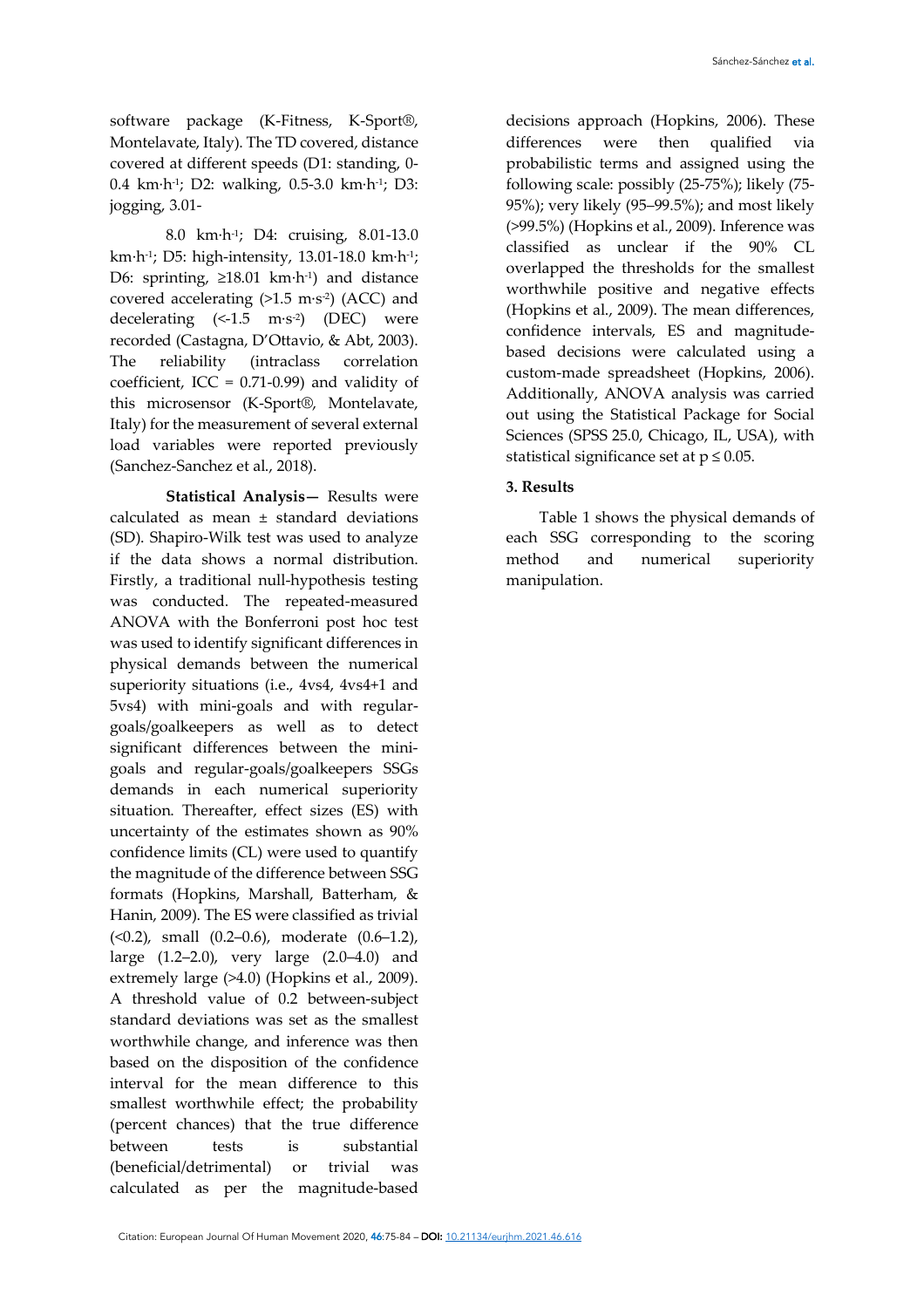8.0 km·h-1; D4: cruising, 8.01-13.0 km·h-1; D5: high-intensity, 13.01-18.0 km·h-1; D6: sprinting, ≥18.01 km·h-1) and distance covered accelerating  $(>1.5 \text{ m}\cdot\text{s}^2)$  (ACC) and decelerating  $(<-1.5$  m·s<sup>-2</sup>) (DEC) were recorded (Castagna, D'Ottavio, & Abt, 2003). The reliability (intraclass correlation coefficient, ICC =  $0.71-0.99$ ) and validity of this microsensor (K-Sport®, Montelavate, Italy) for the measurement of several external load variables were reported previously (Sanchez-Sanchez et al., 2018).

**Statistical Analysis—** Results were calculated as mean ± standard deviations (SD). Shapiro-Wilk test was used to analyze if the data shows a normal distribution. Firstly, a traditional null-hypothesis testing was conducted. The repeated-measured ANOVA with the Bonferroni post hoc test was used to identify significant differences in physical demands between the numerical superiority situations (i.e., 4vs4, 4vs4+1 and 5vs4) with mini-goals and with regulargoals/goalkeepers as well as to detect significant differences between the minigoals and regular-goals/goalkeepers SSGs demands in each numerical superiority situation. Thereafter, effect sizes (ES) with uncertainty of the estimates shown as 90% confidence limits (CL) were used to quantify the magnitude of the difference between SSG formats (Hopkins, Marshall, Batterham, & Hanin, 2009). The ES were classified as trivial (<0.2), small (0.2–0.6), moderate (0.6–1.2), large (1.2–2.0), very large (2.0–4.0) and extremely large (>4.0) (Hopkins et al., 2009). A threshold value of 0.2 between-subject standard deviations was set as the smallest worthwhile change, and inference was then based on the disposition of the confidence interval for the mean difference to this smallest worthwhile effect; the probability (percent chances) that the true difference between tests is substantial (beneficial/detrimental) or trivial was calculated as per the magnitude-based

decisions approach (Hopkins, 2006). These differences were then qualified via probabilistic terms and assigned using the following scale: possibly (25-75%); likely (75- 95%); very likely (95–99.5%); and most likely (>99.5%) (Hopkins et al., 2009). Inference was classified as unclear if the 90% CL overlapped the thresholds for the smallest worthwhile positive and negative effects (Hopkins et al., 2009). The mean differences, confidence intervals, ES and magnitudebased decisions were calculated using a custom-made spreadsheet (Hopkins, 2006). Additionally, ANOVA analysis was carried out using the Statistical Package for Social Sciences (SPSS 25.0, Chicago, IL, USA), with statistical significance set at  $p \leq 0.05$ .

### **3. Results**

Table 1 shows the physical demands of each SSG corresponding to the scoring method and numerical superiority manipulation.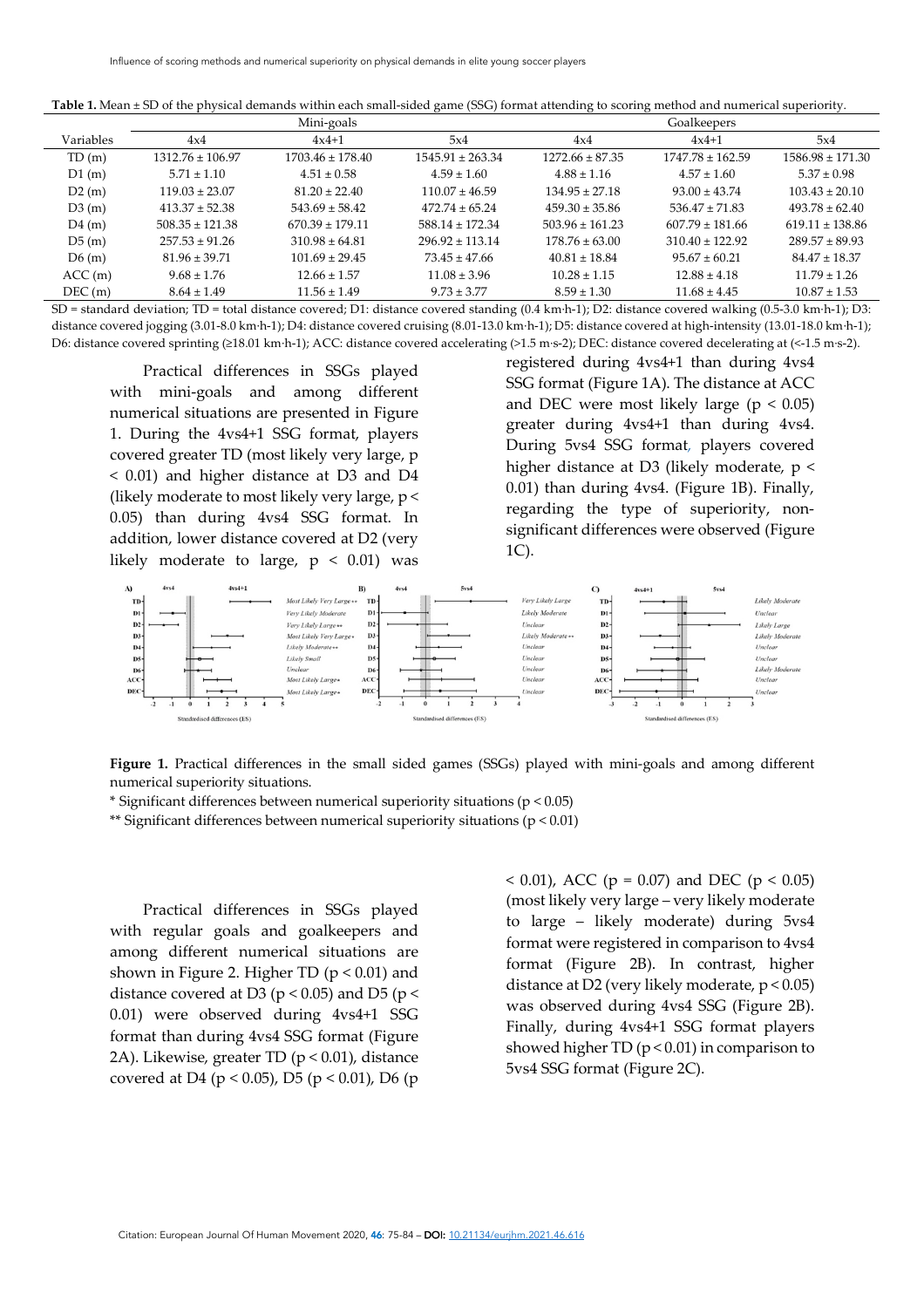| Table 1. Mean ± SD of the physical demands within each small-sided game (SSG) format attending to scoring method and numerical superiority |  |  |
|--------------------------------------------------------------------------------------------------------------------------------------------|--|--|
|                                                                                                                                            |  |  |

|           |                      | Mini-goals           |                      |                     | Goalkeepers          |                      |
|-----------|----------------------|----------------------|----------------------|---------------------|----------------------|----------------------|
| Variables | 4x4                  | $4x4+1$              | 5x4                  | 4x4                 | $4x4+1$              | 5x4                  |
| TD(m)     | $1312.76 \pm 106.97$ | $1703.46 \pm 178.40$ | $1545.91 \pm 263.34$ | $1272.66 \pm 87.35$ | $1747.78 \pm 162.59$ | $1586.98 \pm 171.30$ |
| D1(m)     | $5.71 \pm 1.10$      | $4.51 \pm 0.58$      | $4.59 \pm 1.60$      | $4.88 \pm 1.16$     | $4.57 \pm 1.60$      | $5.37 \pm 0.98$      |
| D2(m)     | $119.03 \pm 23.07$   | $81.20 \pm 22.40$    | $110.07 \pm 46.59$   | $134.95 + 27.18$    | $93.00 \pm 43.74$    | $103.43 \pm 20.10$   |
| D3(m)     | $413.37 \pm 52.38$   | $543.69 \pm 58.42$   | $472.74 \pm 65.24$   | $459.30 \pm 35.86$  | $536.47 \pm 71.83$   | $493.78 + 62.40$     |
| D4(m)     | $508.35 \pm 121.38$  | $670.39 \pm 179.11$  | $588.14 \pm 172.34$  | $503.96 \pm 161.23$ | $607.79 \pm 181.66$  | $619.11 \pm 138.86$  |
| D5(m)     | $257.53 + 91.26$     | $310.98 \pm 64.81$   | $296.92 \pm 113.14$  | $178.76 \pm 63.00$  | $310.40 \pm 122.92$  | $289.57 + 89.93$     |
| D6(m)     | $81.96 \pm 39.71$    | $101.69 \pm 29.45$   | $73.45 \pm 47.66$    | $40.81 \pm 18.84$   | $95.67 \pm 60.21$    | $84.47 \pm 18.37$    |
| ACC(m)    | $9.68 \pm 1.76$      | $12.66 \pm 1.57$     | $11.08 \pm 3.96$     | $10.28 \pm 1.15$    | $12.88 \pm 4.18$     | $11.79 \pm 1.26$     |
| DEC(m)    | $8.64 \pm 1.49$      | $11.56 \pm 1.49$     | $9.73 \pm 3.77$      | $8.59 \pm 1.30$     | $11.68 \pm 4.45$     | $10.87 \pm 1.53$     |

SD = standard deviation; TD = total distance covered; D1: distance covered standing (0.4 km·h-1); D2: distance covered walking (0.5-3.0 km·h-1); D3: distance covered jogging (3.01-8.0 km·h-1); D4: distance covered cruising (8.01-13.0 km·h-1); D5: distance covered at high-intensity (13.01-18.0 km·h-1); D6: distance covered sprinting (≥18.01 km·h-1); ACC: distance covered accelerating (>1.5 m·s-2); DEC: distance covered decelerating at (<-1.5 m·s-2).

Practical differences in SSGs played with mini-goals and among different numerical situations are presented in Figure 1. During the 4vs4+1 SSG format, players covered greater TD (most likely very large, p < 0.01) and higher distance at D3 and D4 (likely moderate to most likely very large, p < 0.05) than during 4vs4 SSG format. In addition, lower distance covered at D2 (very likely moderate to large,  $p < 0.01$ ) was

registered during 4vs4+1 than during 4vs4 SSG format (Figure 1A). The distance at ACC and DEC were most likely large ( $p < 0.05$ ) greater during 4vs4+1 than during 4vs4. During 5vs4 SSG format, players covered higher distance at D3 (likely moderate, p < 0.01) than during 4vs4. (Figure 1B). Finally, regarding the type of superiority, nonsignificant differences were observed (Figure 1C).



**Figure 1.** Practical differences in the small sided games (SSGs) played with mini-goals and among different numerical superiority situations.

\* Significant differences between numerical superiority situations (p < 0.05)

\*\* Significant differences between numerical superiority situations ( $p < 0.01$ )

Practical differences in SSGs played with regular goals and goalkeepers and among different numerical situations are shown in Figure 2. Higher TD ( $p < 0.01$ ) and distance covered at D3 ( $p < 0.05$ ) and D5 ( $p <$ 0.01) were observed during 4vs4+1 SSG format than during 4vs4 SSG format (Figure 2A). Likewise, greater TD (p < 0.01), distance covered at D4 (p < 0.05), D5 (p < 0.01), D6 (p

 $(0.01)$ , ACC (p = 0.07) and DEC (p < 0.05) (most likely very large – very likely moderate to large – likely moderate) during 5vs4 format were registered in comparison to 4vs4 format (Figure 2B). In contrast, higher distance at D2 (very likely moderate,  $p < 0.05$ ) was observed during 4vs4 SSG (Figure 2B). Finally, during 4vs4+1 SSG format players showed higher TD ( $p < 0.01$ ) in comparison to 5vs4 SSG format (Figure 2C).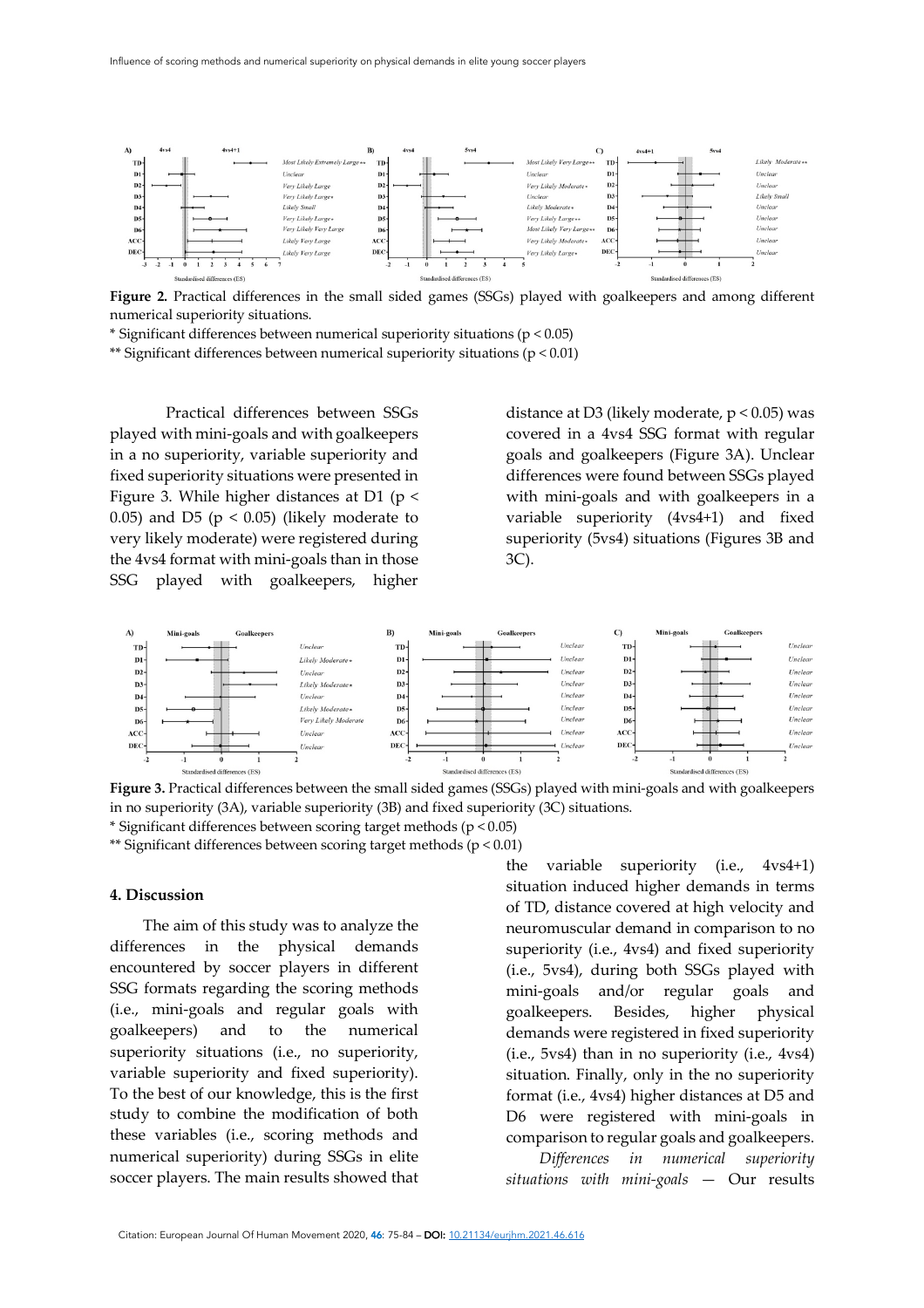

**Figure 2.** Practical differences in the small sided games (SSGs) played with goalkeepers and among different numerical superiority situations.

\* Significant differences between numerical superiority situations (p < 0.05)

\*\* Significant differences between numerical superiority situations (p < 0.01)

Practical differences between SSGs played with mini-goals and with goalkeepers in a no superiority, variable superiority and fixed superiority situations were presented in Figure 3. While higher distances at D1 ( $p$  < 0.05) and D5 ( $p < 0.05$ ) (likely moderate to very likely moderate) were registered during the 4vs4 format with mini-goals than in those SSG played with goalkeepers, higher

distance at D3 (likely moderate,  $p < 0.05$ ) was covered in a 4vs4 SSG format with regular goals and goalkeepers (Figure 3A). Unclear differences were found between SSGs played with mini-goals and with goalkeepers in a variable superiority (4vs4+1) and fixed superiority (5vs4) situations (Figures 3B and 3C).



**Figure 3.** Practical differences between the small sided games (SSGs) played with mini-goals and with goalkeepers in no superiority (3A), variable superiority (3B) and fixed superiority (3C) situations.

\* Significant differences between scoring target methods (p < 0.05)

\*\* Significant differences between scoring target methods (p < 0.01)

#### **4. Discussion**

The aim of this study was to analyze the differences in the physical demands encountered by soccer players in different SSG formats regarding the scoring methods (i.e., mini-goals and regular goals with goalkeepers) and to the numerical superiority situations (i.e., no superiority, variable superiority and fixed superiority). To the best of our knowledge, this is the first study to combine the modification of both these variables (i.e., scoring methods and numerical superiority) during SSGs in elite soccer players. The main results showed that

the variable superiority (i.e., 4vs4+1) situation induced higher demands in terms of TD, distance covered at high velocity and neuromuscular demand in comparison to no superiority (i.e., 4vs4) and fixed superiority (i.e., 5vs4), during both SSGs played with mini-goals and/or regular goals and goalkeepers. Besides, higher physical demands were registered in fixed superiority (i.e., 5vs4) than in no superiority (i.e., 4vs4) situation. Finally, only in the no superiority format (i.e., 4vs4) higher distances at D5 and D6 were registered with mini-goals in comparison to regular goals and goalkeepers.

*Differences in numerical superiority situations with mini-goals* — Our results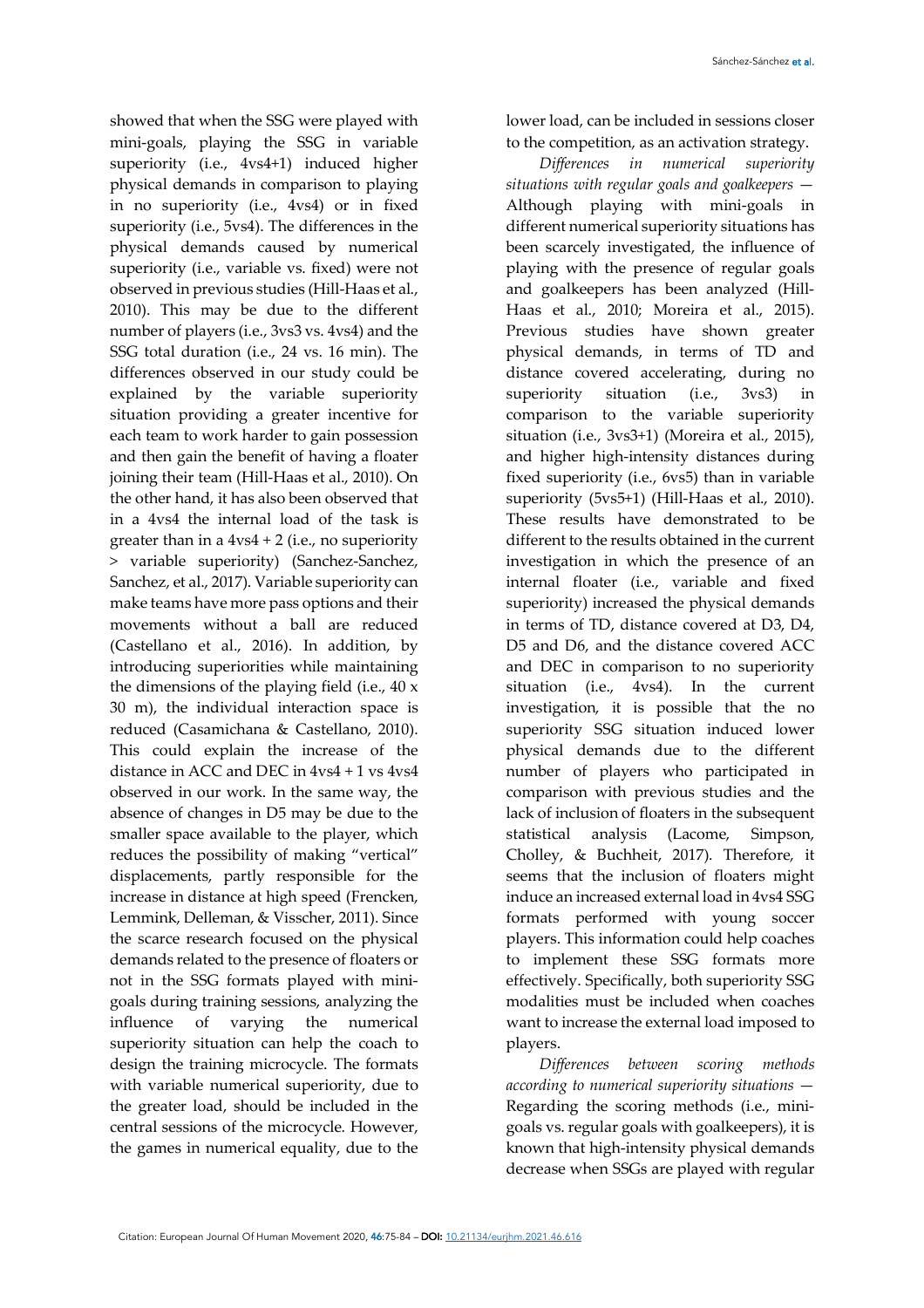showed that when the SSG were played with mini-goals, playing the SSG in variable superiority (i.e., 4vs4+1) induced higher physical demands in comparison to playing in no superiority (i.e., 4vs4) or in fixed superiority (i.e., 5vs4). The differences in the physical demands caused by numerical superiority (i.e., variable vs. fixed) were not observed in previous studies (Hill-Haas et al., 2010). This may be due to the different number of players (i.e., 3vs3 vs. 4vs4) and the SSG total duration (i.e., 24 vs. 16 min). The differences observed in our study could be explained by the variable superiority situation providing a greater incentive for each team to work harder to gain possession and then gain the benefit of having a floater joining their team (Hill-Haas et al., 2010). On the other hand, it has also been observed that in a 4vs4 the internal load of the task is greater than in a  $4v<sub>54</sub> + 2$  (i.e., no superiority > variable superiority) (Sanchez-Sanchez, Sanchez, et al., 2017). Variable superiority can make teams have more pass options and their movements without a ball are reduced (Castellano et al., 2016). In addition, by introducing superiorities while maintaining the dimensions of the playing field (i.e., 40 x 30 m), the individual interaction space is reduced (Casamichana & Castellano, 2010). This could explain the increase of the distance in ACC and DEC in 4vs4 + 1 vs 4vs4 observed in our work. In the same way, the absence of changes in D5 may be due to the smaller space available to the player, which reduces the possibility of making "vertical" displacements, partly responsible for the increase in distance at high speed (Frencken, Lemmink, Delleman, & Visscher, 2011). Since the scarce research focused on the physical demands related to the presence of floaters or not in the SSG formats played with minigoals during training sessions, analyzing the influence of varying the numerical superiority situation can help the coach to design the training microcycle. The formats with variable numerical superiority, due to the greater load, should be included in the central sessions of the microcycle. However, the games in numerical equality, due to the

lower load, can be included in sessions closer to the competition, as an activation strategy.

*Differences in numerical superiority situations with regular goals and goalkeepers* — Although playing with mini-goals in different numerical superiority situations has been scarcely investigated, the influence of playing with the presence of regular goals and goalkeepers has been analyzed (Hill-Haas et al., 2010; Moreira et al., 2015). Previous studies have shown greater physical demands, in terms of TD and distance covered accelerating, during no superiority situation (i.e., 3vs3) in comparison to the variable superiority situation (i.e., 3vs3+1) (Moreira et al., 2015), and higher high-intensity distances during fixed superiority (i.e., 6vs5) than in variable superiority (5vs5+1) (Hill-Haas et al., 2010). These results have demonstrated to be different to the results obtained in the current investigation in which the presence of an internal floater (i.e., variable and fixed superiority) increased the physical demands in terms of TD, distance covered at D3, D4, D5 and D6, and the distance covered ACC and DEC in comparison to no superiority situation (i.e., 4vs4). In the current investigation, it is possible that the no superiority SSG situation induced lower physical demands due to the different number of players who participated in comparison with previous studies and the lack of inclusion of floaters in the subsequent statistical analysis (Lacome, Simpson, Cholley, & Buchheit, 2017). Therefore, it seems that the inclusion of floaters might induce an increased external load in 4vs4 SSG formats performed with young soccer players. This information could help coaches to implement these SSG formats more effectively. Specifically, both superiority SSG modalities must be included when coaches want to increase the external load imposed to players.

*Differences between scoring methods according to numerical superiority situations* — Regarding the scoring methods (i.e., minigoals vs. regular goals with goalkeepers), it is known that high-intensity physical demands decrease when SSGs are played with regular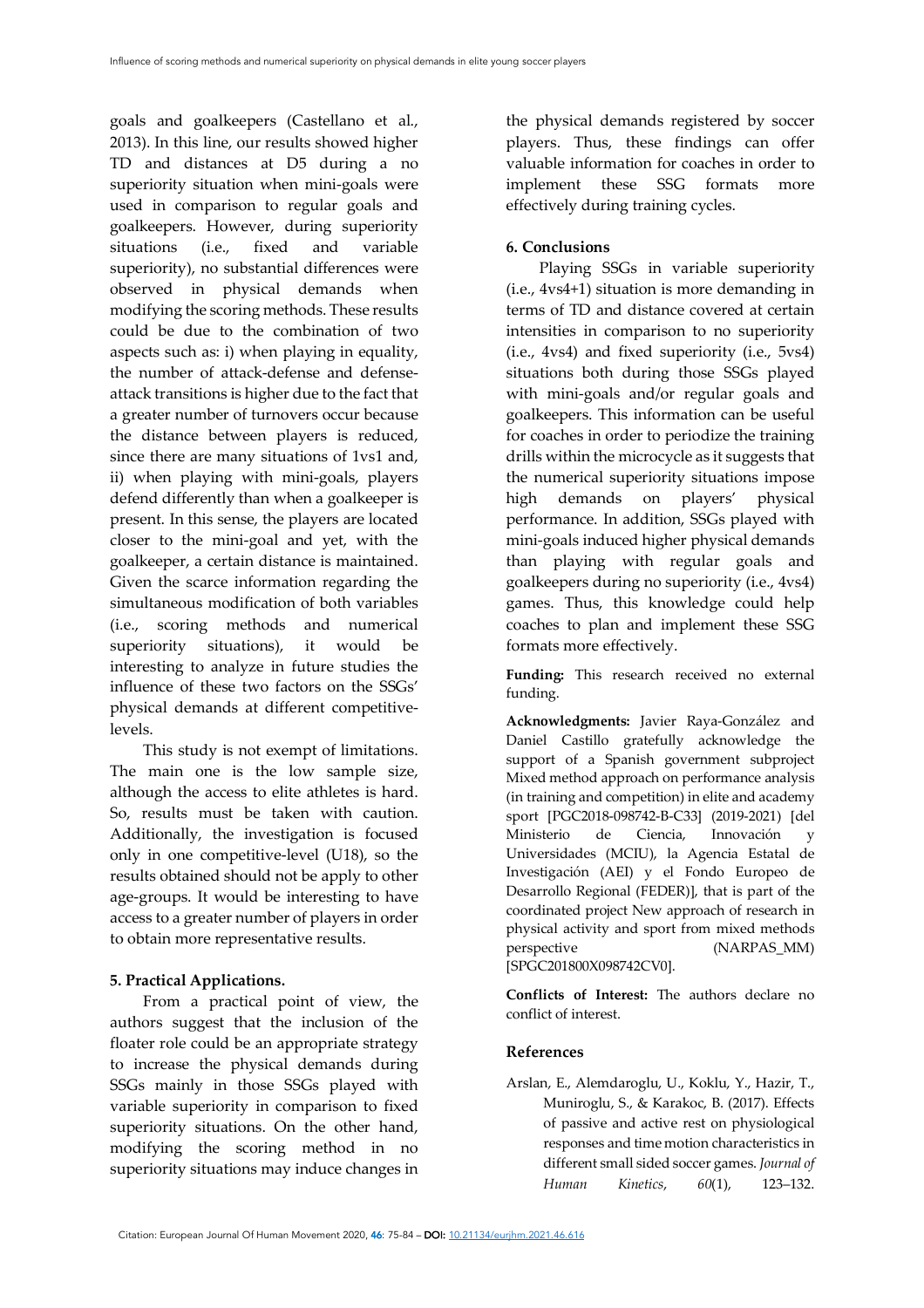goals and goalkeepers (Castellano et al., 2013). In this line, our results showed higher TD and distances at D5 during a no superiority situation when mini-goals were used in comparison to regular goals and goalkeepers. However, during superiority situations (i.e., fixed and variable superiority), no substantial differences were observed in physical demands when modifying the scoring methods. These results could be due to the combination of two aspects such as: i) when playing in equality, the number of attack-defense and defenseattack transitions is higher due to the fact that a greater number of turnovers occur because the distance between players is reduced, since there are many situations of 1vs1 and, ii) when playing with mini-goals, players defend differently than when a goalkeeper is present. In this sense, the players are located closer to the mini-goal and yet, with the goalkeeper, a certain distance is maintained. Given the scarce information regarding the simultaneous modification of both variables (i.e., scoring methods and numerical superiority situations), it would be interesting to analyze in future studies the influence of these two factors on the SSGs' physical demands at different competitivelevels.

This study is not exempt of limitations. The main one is the low sample size, although the access to elite athletes is hard. So, results must be taken with caution. Additionally, the investigation is focused only in one competitive-level (U18), so the results obtained should not be apply to other age-groups. It would be interesting to have access to a greater number of players in order to obtain more representative results.

### **5. Practical Applications.**

From a practical point of view, the authors suggest that the inclusion of the floater role could be an appropriate strategy to increase the physical demands during SSGs mainly in those SSGs played with variable superiority in comparison to fixed superiority situations. On the other hand, modifying the scoring method in no superiority situations may induce changes in

the physical demands registered by soccer players. Thus, these findings can offer valuable information for coaches in order to implement these SSG formats more effectively during training cycles.

### **6. Conclusions**

Playing SSGs in variable superiority (i.e., 4vs4+1) situation is more demanding in terms of TD and distance covered at certain intensities in comparison to no superiority (i.e., 4vs4) and fixed superiority (i.e., 5vs4) situations both during those SSGs played with mini-goals and/or regular goals and goalkeepers. This information can be useful for coaches in order to periodize the training drills within the microcycle as it suggests that the numerical superiority situations impose high demands on players' physical performance. In addition, SSGs played with mini-goals induced higher physical demands than playing with regular goals and goalkeepers during no superiority (i.e., 4vs4) games. Thus, this knowledge could help coaches to plan and implement these SSG formats more effectively.

**Funding:** This research received no external funding.

**Acknowledgments:** Javier Raya-González and Daniel Castillo gratefully acknowledge the support of a Spanish government subproject Mixed method approach on performance analysis (in training and competition) in elite and academy sport [PGC2018-098742-B-C33] (2019-2021) [del Ministerio de Ciencia, Innovación y Universidades (MCIU), la Agencia Estatal de Investigación (AEI) y el Fondo Europeo de Desarrollo Regional (FEDER)], that is part of the coordinated project New approach of research in physical activity and sport from mixed methods perspective (NARPAS\_MM) [SPGC201800X098742CV0].

**Conflicts of Interest:** The authors declare no conflict of interest.

### **References**

Arslan, E., Alemdaroglu, U., Koklu, Y., Hazir, T., Muniroglu, S., & Karakoc, B. (2017). Effects of passive and active rest on physiological responses and time motion characteristics in different small sided soccer games. *Journal of Human Kinetics*, *60*(1), 123–132.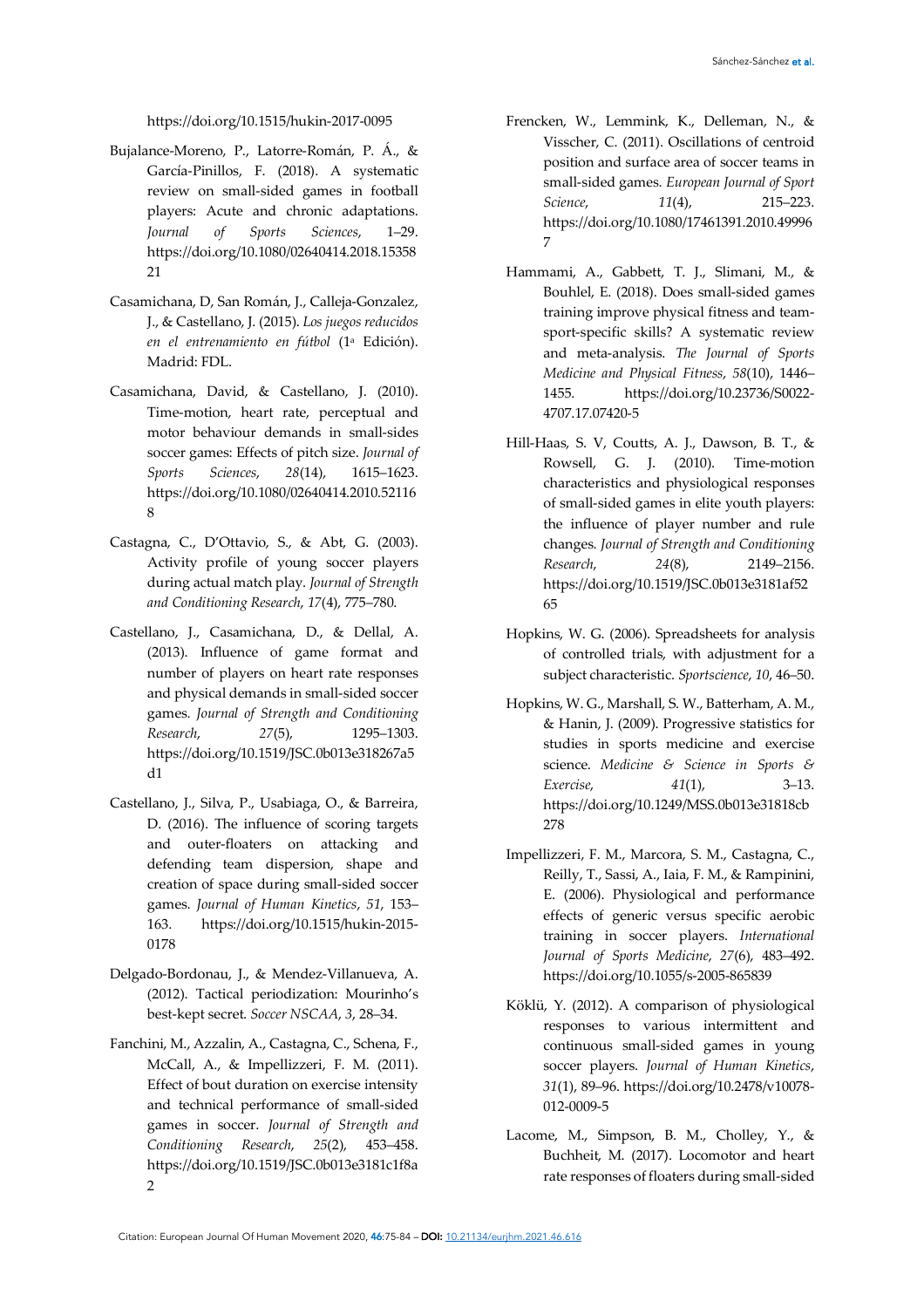#### https://doi.org/10.1515/hukin-2017-0095

- Bujalance-Moreno, P., Latorre-Román, P. Á., & García-Pinillos, F. (2018). A systematic review on small-sided games in football players: Acute and chronic adaptations. *Journal of Sports Sciences*, 1–29. https://doi.org/10.1080/02640414.2018.15358 21
- Casamichana, D, San Román, J., Calleja-Gonzalez, J., & Castellano, J. (2015). *Los juegos reducidos en el entrenamiento en fútbol* (1a Edición). Madrid: FDL.
- Casamichana, David, & Castellano, J. (2010). Time-motion, heart rate, perceptual and motor behaviour demands in small-sides soccer games: Effects of pitch size. *Journal of Sports Sciences*, *28*(14), 1615–1623. https://doi.org/10.1080/02640414.2010.52116 8
- Castagna, C., D'Ottavio, S., & Abt, G. (2003). Activity profile of young soccer players during actual match play. *Journal of Strength and Conditioning Research*, *17*(4), 775–780.
- Castellano, J., Casamichana, D., & Dellal, A. (2013). Influence of game format and number of players on heart rate responses and physical demands in small-sided soccer games. *Journal of Strength and Conditioning Research*, *27*(5), 1295–1303. https://doi.org/10.1519/JSC.0b013e318267a5 d1
- Castellano, J., Silva, P., Usabiaga, O., & Barreira, D. (2016). The influence of scoring targets and outer-floaters on attacking and defending team dispersion, shape and creation of space during small-sided soccer games. *Journal of Human Kinetics*, *51*, 153– 163. https://doi.org/10.1515/hukin-2015- 0178
- Delgado-Bordonau, J., & Mendez-Villanueva, A. (2012). Tactical periodization: Mourinho's best-kept secret. *Soccer NSCAA*, *3*, 28–34.
- Fanchini, M., Azzalin, A., Castagna, C., Schena, F., McCall, A., & Impellizzeri, F. M. (2011). Effect of bout duration on exercise intensity and technical performance of small-sided games in soccer. *Journal of Strength and Conditioning Research*, *25*(2), 453–458. https://doi.org/10.1519/JSC.0b013e3181c1f8a 2
- Frencken, W., Lemmink, K., Delleman, N., & Visscher, C. (2011). Oscillations of centroid position and surface area of soccer teams in small-sided games. *European Journal of Sport Science*, *11*(4), 215–223. https://doi.org/10.1080/17461391.2010.49996 7
- Hammami, A., Gabbett, T. J., Slimani, M., & Bouhlel, E. (2018). Does small-sided games training improve physical fitness and teamsport-specific skills? A systematic review and meta-analysis. *The Journal of Sports Medicine and Physical Fitness*, *58*(10), 1446– 1455. https://doi.org/10.23736/S0022- 4707.17.07420-5
- Hill-Haas, S. V, Coutts, A. J., Dawson, B. T., & Rowsell, G. J. (2010). Time-motion characteristics and physiological responses of small-sided games in elite youth players: the influence of player number and rule changes. *Journal of Strength and Conditioning Research*, *24*(8), 2149–2156. https://doi.org/10.1519/JSC.0b013e3181af52 65
- Hopkins, W. G. (2006). Spreadsheets for analysis of controlled trials, with adjustment for a subject characteristic. *Sportscience*, *10*, 46–50.
- Hopkins, W. G., Marshall, S. W., Batterham, A. M., & Hanin, J. (2009). Progressive statistics for studies in sports medicine and exercise science. *Medicine & Science in Sports & Exercise*, *41*(1), 3–13. https://doi.org/10.1249/MSS.0b013e31818cb 278
- Impellizzeri, F. M., Marcora, S. M., Castagna, C., Reilly, T., Sassi, A., Iaia, F. M., & Rampinini, E. (2006). Physiological and performance effects of generic versus specific aerobic training in soccer players. *International Journal of Sports Medicine*, *27*(6), 483–492. https://doi.org/10.1055/s-2005-865839
- Köklü, Y. (2012). A comparison of physiological responses to various intermittent and continuous small-sided games in young soccer players. *Journal of Human Kinetics*, *31*(1), 89–96. https://doi.org/10.2478/v10078- 012-0009-5
- Lacome, M., Simpson, B. M., Cholley, Y., & Buchheit, M. (2017). Locomotor and heart rate responses of floaters during small-sided